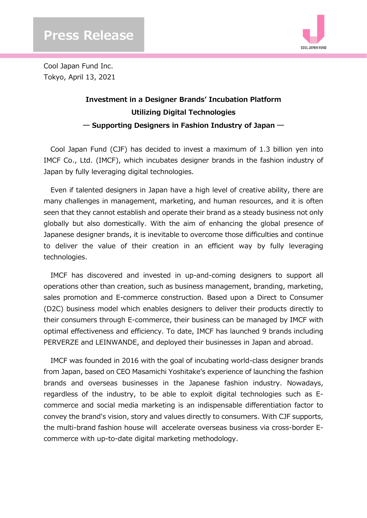

Cool Japan Fund Inc. Tokyo, April 13, 2021

## **Investment in a Designer Brands' Incubation Platform Utilizing Digital Technologies ― Supporting Designers in Fashion Industry of Japan ―**

Cool Japan Fund (CJF) has decided to invest a maximum of 1.3 billion yen into IMCF Co., Ltd. (IMCF), which incubates designer brands in the fashion industry of Japan by fully leveraging digital technologies.

Even if talented designers in Japan have a high level of creative ability, there are many challenges in management, marketing, and human resources, and it is often seen that they cannot establish and operate their brand as a steady business not only globally but also domestically. With the aim of enhancing the global presence of Japanese designer brands, it is inevitable to overcome those difficulties and continue to deliver the value of their creation in an efficient way by fully leveraging technologies.

IMCF has discovered and invested in up-and-coming designers to support all operations other than creation, such as business management, branding, marketing, sales promotion and E-commerce construction. Based upon a Direct to Consumer (D2C) business model which enables designers to deliver their products directly to their consumers through E-commerce, their business can be managed by IMCF with optimal effectiveness and efficiency. To date, IMCF has launched 9 brands including PERVERZE and LEINWANDE, and deployed their businesses in Japan and abroad.

IMCF was founded in 2016 with the goal of incubating world-class designer brands from Japan, based on CEO Masamichi Yoshitake's experience of launching the fashion brands and overseas businesses in the Japanese fashion industry. Nowadays, regardless of the industry, to be able to exploit digital technologies such as Ecommerce and social media marketing is an indispensable differentiation factor to convey the brand's vision, story and values directly to consumers. With CJF supports, the multi-brand fashion house will accelerate overseas business via cross-border Ecommerce with up-to-date digital marketing methodology.